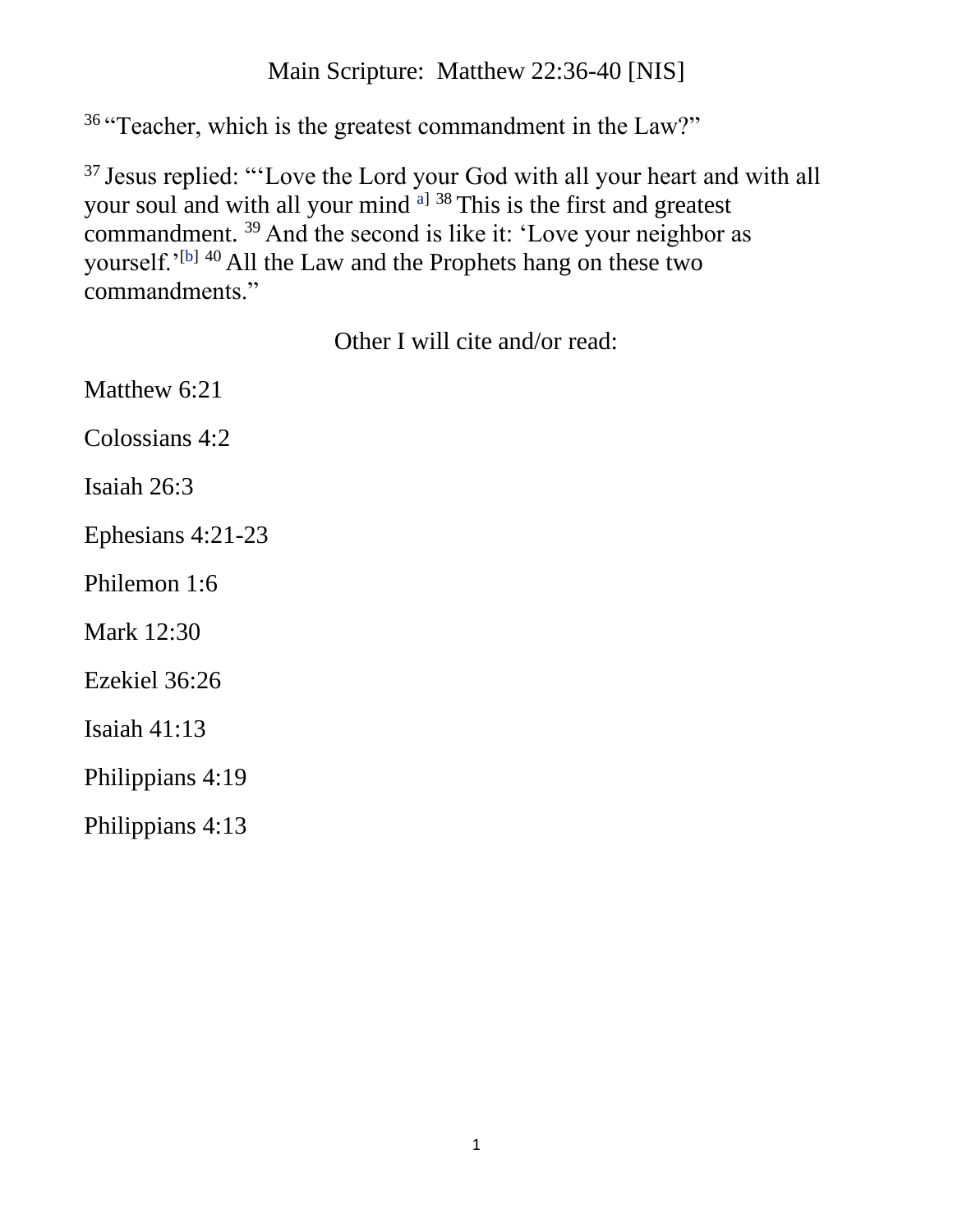## Main Scripture: Matthew 22:36-40 [NIS]

<sup>36</sup> "Teacher, which is the greatest commandment in the Law?"

<sup>37</sup> Jesus replied: "'Love the Lord your God with all your heart and with all your soul and with all your mind <sup>[a\]](https://www.biblegateway.com/passage/?search=Matthew+22:36-40#fen-NIV-23910a) 38</sup> This is the first and greatest commandment. <sup>39</sup> And the second is like it: 'Love your neighbor as yourself.'<sup>[\[b\]](https://www.biblegateway.com/passage/?search=Matthew+22:36-40#fen-NIV-23912b) 40</sup> All the Law and the Prophets hang on these two commandments."

Other I will cite and/or read:

Matthew 6:21 Colossians 4:2 Isaiah 26:3 Ephesians 4:21-23 Philemon 1:6 Mark 12:30 Ezekiel 36:26 Isaiah 41:13 Philippians 4:19 Philippians 4:13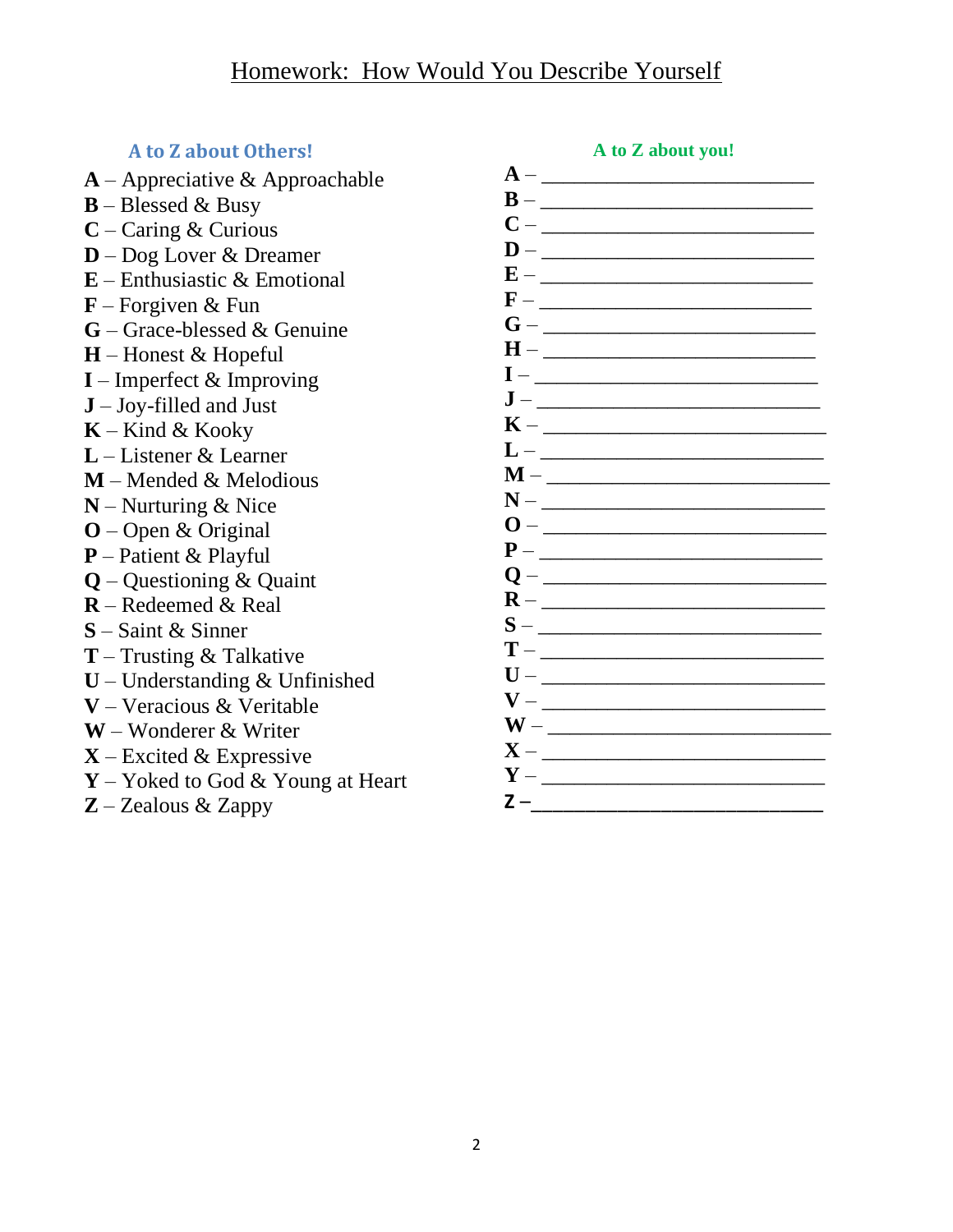## **A to Z about Others!**

- **A** Appreciative & Approachable
- **B** Blessed & Busy
- **C** Caring & Curious
- **D** Dog Lover & Dreamer
- **E** Enthusiastic & Emotional
- **F** Forgiven & Fun
- **G** Grace-blessed & Genuine
- **H** Honest & Hopeful
- **I** Imperfect & Improving
- **J** Joy-filled and Just
- **K** Kind & Kooky
- **L** Listener & Learner
- **M** Mended & Melodious
- **N** Nurturing & Nice
- **O** Open & Original
- **P** Patient & Playful
- **Q** Questioning & Quaint
- **R** Redeemed & Real
- **S** Saint & Sinner
- **T** Trusting & Talkative
- **U** Understanding & Unfinished
- **V** Veracious & Veritable
- **W** Wonderer & Writer
- **X** Excited & Expressive
- **Y** Yoked to God & Young at Heart
- **Z** Zealous & Zappy

| $A -$<br><u> 1989 - Johann John Stoff, deutscher Stoffen und der Stoffen und der Stoffen und der Stoffen und der Stoffen un</u> |
|---------------------------------------------------------------------------------------------------------------------------------|
| B<br>$\overline{\phantom{0}}$                                                                                                   |
| C<br>$\begin{tabular}{ll} \bf - & \end{tabular}$                                                                                |
| D                                                                                                                               |
| E                                                                                                                               |
|                                                                                                                                 |
| G<br>— <u>— — — — — — — — — — — — — —</u>                                                                                       |
| $H -$                                                                                                                           |
|                                                                                                                                 |
| $\mathbf{J}$ – $\_\_$                                                                                                           |
|                                                                                                                                 |
| $K-$                                                                                                                            |
|                                                                                                                                 |
| $M-\qquad$                                                                                                                      |
| $N -$                                                                                                                           |
| $0-$                                                                                                                            |
|                                                                                                                                 |
|                                                                                                                                 |
| $R -$                                                                                                                           |
| $S-$                                                                                                                            |
| $T -$                                                                                                                           |
|                                                                                                                                 |
| $V -$                                                                                                                           |
|                                                                                                                                 |
| $X -$                                                                                                                           |
| $Y -$                                                                                                                           |
| Z –                                                                                                                             |
|                                                                                                                                 |

**A to Z about you!**